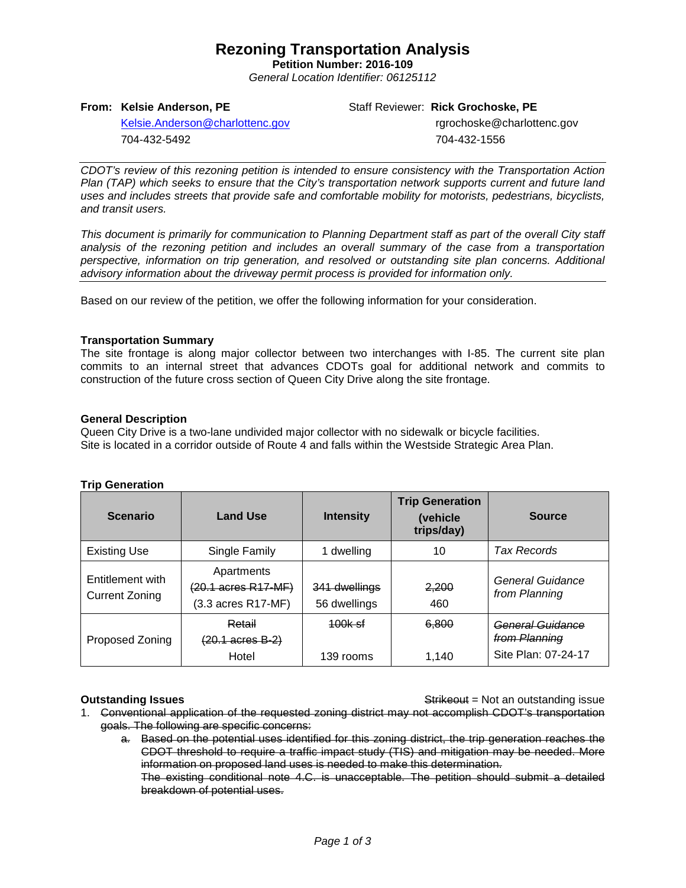# **Rezoning Transportation Analysis**

**Petition Number: 2016-109** *General Location Identifier: 06125112*

## **From: Kelsie Anderson, PE**

Staff Reviewer: **Rick Grochoske, PE**

[Kelsie.Anderson@charlottenc.gov](mailto:Kelsie.Anderson@charlottenc.gov) 704-432-5492

 rgrochoske@charlottenc.gov 704-432-1556

*CDOT's review of this rezoning petition is intended to ensure consistency with the Transportation Action Plan (TAP) which seeks to ensure that the City's transportation network supports current and future land uses and includes streets that provide safe and comfortable mobility for motorists, pedestrians, bicyclists, and transit users.*

*This document is primarily for communication to Planning Department staff as part of the overall City staff analysis of the rezoning petition and includes an overall summary of the case from a transportation perspective, information on trip generation, and resolved or outstanding site plan concerns. Additional advisory information about the driveway permit process is provided for information only.*

Based on our review of the petition, we offer the following information for your consideration.

## **Transportation Summary**

The site frontage is along major collector between two interchanges with I-85. The current site plan commits to an internal street that advances CDOTs goal for additional network and commits to construction of the future cross section of Queen City Drive along the site frontage.

## **General Description**

Queen City Drive is a two-lane undivided major collector with no sidewalk or bicycle facilities. Site is located in a corridor outside of Route 4 and falls within the Westside Strategic Area Plan.

## **Trip Generation**

| <b>Scenario</b>                           | <b>Land Use</b>                                                              | <b>Intensity</b>              | <b>Trip Generation</b><br>(vehicle<br>trips/day) | <b>Source</b>                                            |
|-------------------------------------------|------------------------------------------------------------------------------|-------------------------------|--------------------------------------------------|----------------------------------------------------------|
| <b>Existing Use</b>                       | Single Family                                                                | 1 dwelling                    | 10                                               | Tax Records                                              |
| Entitlement with<br><b>Current Zoning</b> | Apartments<br>$(20.1 \text{ acres } R17 \text{-} M F)$<br>(3.3 acres R17-MF) | 341 dwellings<br>56 dwellings | 2,200<br>460                                     | General Guidance<br>from Planning                        |
| <b>Proposed Zoning</b>                    | Retail<br>$(20.1 \text{ acres } B-2)$<br>Hotel                               | 100k sf<br>139 rooms          | 6.800<br>1.140                                   | General Guidance<br>from Planning<br>Site Plan: 07-24-17 |

**Outstanding Issues Container and Strike Example 20 and Strike Container and Strike Outstanding issue** 

- 1. Conventional application of the requested zoning district may not accomplish CDOT's transportation goals. The following are specific concerns:
	- a. Based on the potential uses identified for this zoning district, the trip generation reaches the CDOT threshold to require a traffic impact study (TIS) and mitigation may be needed. More information on proposed land uses is needed to make this determination. The existing conditional note 4.C. is unacceptable. The petition should submit a detailed

breakdown of potential uses.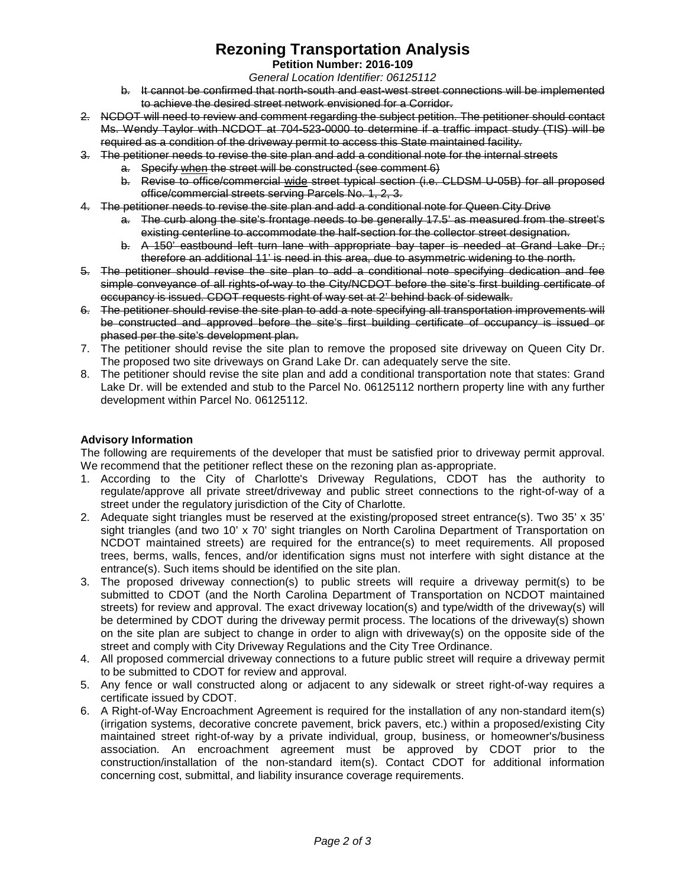# **Rezoning Transportation Analysis**

# **Petition Number: 2016-109**

*General Location Identifier: 06125112*

- b. It cannot be confirmed that north-south and east-west street connections will be implemented to achieve the desired street network envisioned for a Corridor.
- 2. NCDOT will need to review and comment regarding the subject petition. The petitioner should contact Ms. Wendy Taylor with NCDOT at 704-523-0000 to determine if a traffic impact study (TIS) will be required as a condition of the driveway permit to access this State maintained facility.
- 3. The petitioner needs to revise the site plan and add a conditional note for the internal streets
	- a. Specify when the street will be constructed (see comment 6)
	- b. Revise to office/commercial wide street typical section (i.e. CLDSM U-05B) for all proposed office/commercial streets serving Parcels No. 1, 2, 3.
- 4. The petitioner needs to revise the site plan and add a conditional note for Queen City Drive
	- a. The curb along the site's frontage needs to be generally 17.5' as measured from the street's existing centerline to accommodate the half-section for the collector street designation.
	- b. A 150' eastbound left turn lane with appropriate bay taper is needed at Grand Lake Dr.; therefore an additional 11' is need in this area, due to asymmetric widening to the north.
- 5. The petitioner should revise the site plan to add a conditional note specifying dedication and fee simple conveyance of all rights-of-way to the City/NCDOT before the site's first building certificate of occupancy is issued. CDOT requests right of way set at 2' behind back of sidewalk.
- 6. The petitioner should revise the site plan to add a note specifying all transportation improvements will be constructed and approved before the site's first building certificate of occupancy is issued or phased per the site's development plan.
- 7. The petitioner should revise the site plan to remove the proposed site driveway on Queen City Dr. The proposed two site driveways on Grand Lake Dr. can adequately serve the site.
- 8. The petitioner should revise the site plan and add a conditional transportation note that states: Grand Lake Dr. will be extended and stub to the Parcel No. 06125112 northern property line with any further development within Parcel No. 06125112.

# **Advisory Information**

The following are requirements of the developer that must be satisfied prior to driveway permit approval. We recommend that the petitioner reflect these on the rezoning plan as-appropriate.

- 1. According to the City of Charlotte's Driveway Regulations, CDOT has the authority to regulate/approve all private street/driveway and public street connections to the right-of-way of a street under the regulatory jurisdiction of the City of Charlotte.
- 2. Adequate sight triangles must be reserved at the existing/proposed street entrance(s). Two 35' x 35' sight triangles (and two 10' x 70' sight triangles on North Carolina Department of Transportation on NCDOT maintained streets) are required for the entrance(s) to meet requirements. All proposed trees, berms, walls, fences, and/or identification signs must not interfere with sight distance at the entrance(s). Such items should be identified on the site plan.
- 3. The proposed driveway connection(s) to public streets will require a driveway permit(s) to be submitted to CDOT (and the North Carolina Department of Transportation on NCDOT maintained streets) for review and approval. The exact driveway location(s) and type/width of the driveway(s) will be determined by CDOT during the driveway permit process. The locations of the driveway(s) shown on the site plan are subject to change in order to align with driveway(s) on the opposite side of the street and comply with City Driveway Regulations and the City Tree Ordinance.
- 4. All proposed commercial driveway connections to a future public street will require a driveway permit to be submitted to CDOT for review and approval.
- 5. Any fence or wall constructed along or adjacent to any sidewalk or street right-of-way requires a certificate issued by CDOT.
- 6. A Right-of-Way Encroachment Agreement is required for the installation of any non-standard item(s) (irrigation systems, decorative concrete pavement, brick pavers, etc.) within a proposed/existing City maintained street right-of-way by a private individual, group, business, or homeowner's/business association. An encroachment agreement must be approved by CDOT prior to the construction/installation of the non-standard item(s). Contact CDOT for additional information concerning cost, submittal, and liability insurance coverage requirements.